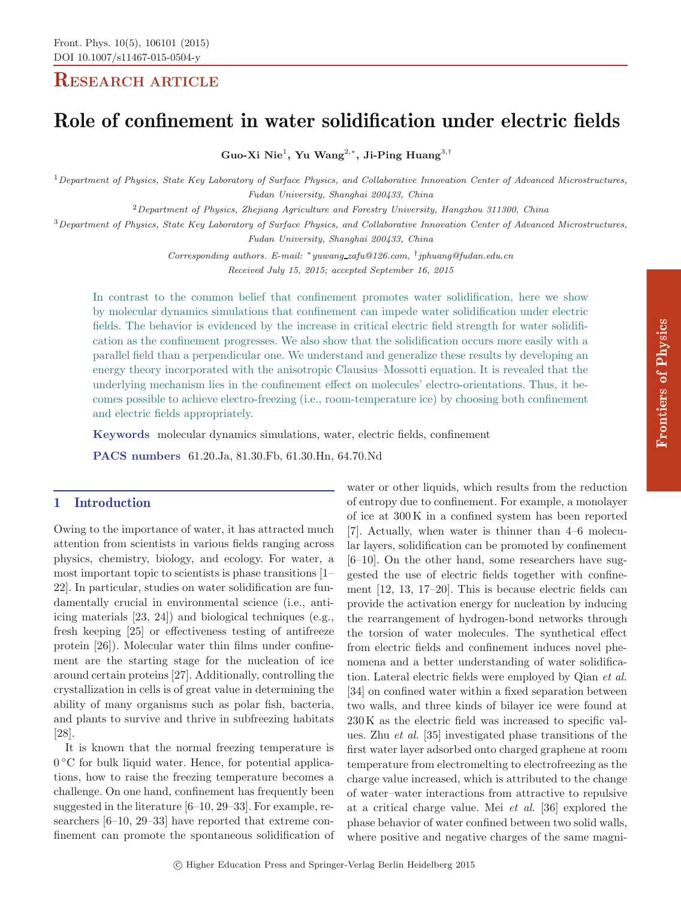## **RESEARCH ARTICLE**

# **Role of confinement in water solidification under electric fields**

**Guo-Xi Nie**<sup>1</sup>**, Yu Wang**<sup>2</sup>*,*<sup>∗</sup>**, Ji-Ping Huang**<sup>3</sup>*,*†

<sup>1</sup>*Department of Physics, State Key Laboratory of Surface Physics, and Collaborative Innovation Center of Advanced Microstructures, Fudan University, Shanghai 200433, China*

<sup>2</sup>*Department of Physics, Zhejiang Agriculture and Forestry University, Hangzhou 311300, China*

<sup>3</sup>*Department of Physics, State Key Laboratory of Surface Physics, and Collaborative Innovation Center of Advanced Microstructures, Fudan University, Shanghai 200433, China*

> *Corresponding authors. E-mail:* ∗*yuwang zafu@126.com,* †*jphuang@fudan.edu.cn Received July 15, 2015; accepted September 16, 2015*

In contrast to the common belief that confinement promotes water solidification, here we show by molecular dynamics simulations that confinement can impede water solidification under electric fields. The behavior is evidenced by the increase in critical electric field strength for water solidification as the confinement progresses. We also show that the solidification occurs more easily with a parallel field than a perpendicular one. We understand and generalize these results by developing an energy theory incorporated with the anisotropic Clausius–Mossotti equation. It is revealed that the underlying mechanism lies in the confinement effect on molecules' electro-orientations. Thus, it becomes possible to achieve electro-freezing (i.e., room-temperature ice) by choosing both confinement and electric fields appropriately.

**Keywords** molecular dynamics simulations, water, electric fields, confinement

**PACS numbers** 61.20.Ja, 81.30.Fb, 61.30.Hn, 64.70.Nd

## **1 Introduction**

Owing to the importance of water, it has attracted much attention from scientists in various fields ranging across physics, chemistry, biology, and ecology. For water, a most important topic to scientists is phase transitions [1– 22]. In particular, studies on water solidification are fundamentally crucial in environmental science (i.e., antiicing materials [23, 24]) and biological techniques (e.g., fresh keeping [25] or effectiveness testing of antifreeze protein [26]). Molecular water thin films under confinement are the starting stage for the nucleation of ice around certain proteins [27]. Additionally, controlling the crystallization in cells is of great value in determining the ability of many organisms such as polar fish, bacteria, and plants to survive and thrive in subfreezing habitats [28].

It is known that the normal freezing temperature is  $0^{\circ}$ C for bulk liquid water. Hence, for potential applications, how to raise the freezing temperature becomes a challenge. On one hand, confinement has frequently been suggested in the literature [6–10, 29–33]. For example, researchers [6–10, 29–33] have reported that extreme confinement can promote the spontaneous solidification of water or other liquids, which results from the reduction of entropy due to confinement. For example, a monolayer of ice at 300 K in a confined system has been reported [7]. Actually, when water is thinner than 4–6 molecular layers, solidification can be promoted by confinement [6–10]. On the other hand, some researchers have suggested the use of electric fields together with confinement [12, 13, 17–20]. This is because electric fields can provide the activation energy for nucleation by inducing the rearrangement of hydrogen-bond networks through the torsion of water molecules. The synthetical effect from electric fields and confinement induces novel phenomena and a better understanding of water solidification. Lateral electric fields were employed by Qian *et al.* [34] on confined water within a fixed separation between two walls, and three kinds of bilayer ice were found at 230 K as the electric field was increased to specific values. Zhu *et al.* [35] investigated phase transitions of the first water layer adsorbed onto charged graphene at room temperature from electromelting to electrofreezing as the charge value increased, which is attributed to the change of water–water interactions from attractive to repulsive at a critical charge value. Mei *et al.* [36] explored the phase behavior of water confined between two solid walls, where positive and negative charges of the same magni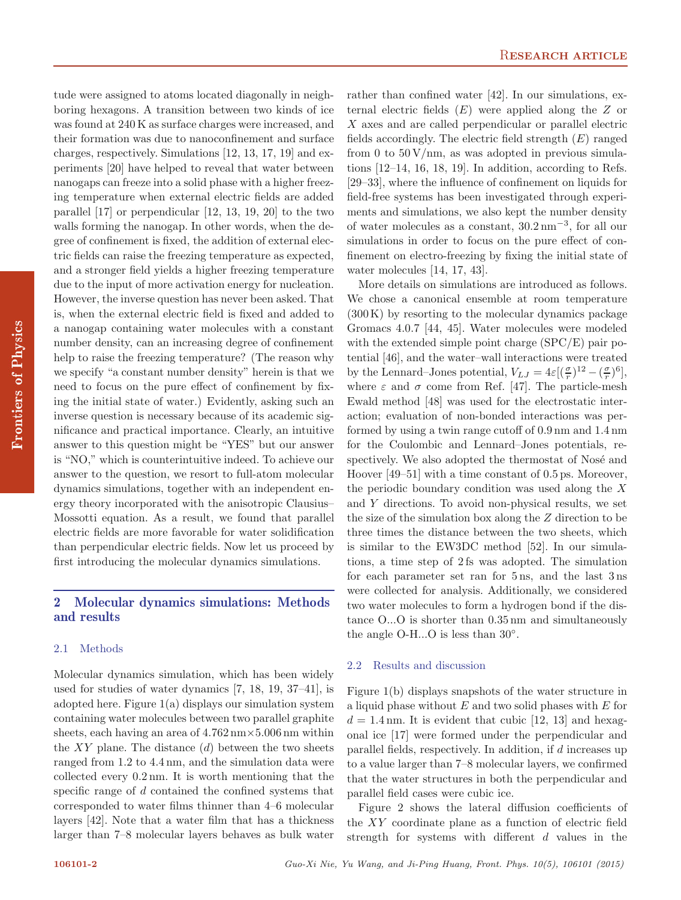tude were assigned to atoms located diagonally in neighboring hexagons. A transition between two kinds of ice was found at 240 K as surface charges were increased, and their formation was due to nanoconfinement and surface charges, respectively. Simulations [12, 13, 17, 19] and experiments [20] have helped to reveal that water between nanogaps can freeze into a solid phase with a higher freezing temperature when external electric fields are added parallel [17] or perpendicular [12, 13, 19, 20] to the two walls forming the nanogap. In other words, when the degree of confinement is fixed, the addition of external electric fields can raise the freezing temperature as expected, and a stronger field yields a higher freezing temperature due to the input of more activation energy for nucleation. However, the inverse question has never been asked. That is, when the external electric field is fixed and added to a nanogap containing water molecules with a constant number density, can an increasing degree of confinement help to raise the freezing temperature? (The reason why we specify "a constant number density" herein is that we need to focus on the pure effect of confinement by fixing the initial state of water.) Evidently, asking such an inverse question is necessary because of its academic significance and practical importance. Clearly, an intuitive answer to this question might be "YES" but our answer is "NO," which is counterintuitive indeed. To achieve our answer to the question, we resort to full-atom molecular dynamics simulations, together with an independent energy theory incorporated with the anisotropic Clausius– Mossotti equation. As a result, we found that parallel electric fields are more favorable for water solidification than perpendicular electric fields. Now let us proceed by

## **2 Molecular dynamics simulations: Methods and results**

first introducing the molecular dynamics simulations.

#### 2.1 Methods

Molecular dynamics simulation, which has been widely used for studies of water dynamics [7, 18, 19, 37–41], is adopted here. Figure 1(a) displays our simulation system containing water molecules between two parallel graphite sheets, each having an area of  $4.762 \,\mathrm{nm} \times 5.006 \,\mathrm{nm}$  within the  $XY$  plane. The distance  $(d)$  between the two sheets ranged from 1.2 to 4.4 nm, and the simulation data were collected every 0.2 nm. It is worth mentioning that the specific range of d contained the confined systems that corresponded to water films thinner than 4–6 molecular layers [42]. Note that a water film that has a thickness larger than 7–8 molecular layers behaves as bulk water

rather than confined water [42]. In our simulations, external electric fields  $(E)$  were applied along the Z or X axes and are called perpendicular or parallel electric fields accordingly. The electric field strength  $(E)$  ranged from 0 to  $50 \text{ V/mm}$ , as was adopted in previous simulations [12–14, 16, 18, 19]. In addition, according to Refs. [29–33], where the influence of confinement on liquids for field-free systems has been investigated through experiments and simulations, we also kept the number density of water molecules as a constant, 30.2 nm−3, for all our simulations in order to focus on the pure effect of confinement on electro-freezing by fixing the initial state of water molecules [14, 17, 43].

More details on simulations are introduced as follows. We chose a canonical ensemble at room temperature (300 K) by resorting to the molecular dynamics package Gromacs 4.0.7 [44, 45]. Water molecules were modeled with the extended simple point charge (SPC/E) pair potential [46], and the water–wall interactions were treated by the Lennard–Jones potential,  $V_{LJ} = 4\varepsilon \left[ \left( \frac{\sigma}{r} \right)^{12} - \left( \frac{\sigma}{r} \right)^{6} \right]$ , where  $\varepsilon$  and  $\sigma$  come from Ref. [47]. The particle-mesh Ewald method [48] was used for the electrostatic interaction; evaluation of non-bonded interactions was performed by using a twin range cutoff of 0.9 nm and 1.4 nm for the Coulombic and Lennard–Jones potentials, respectively. We also adopted the thermostat of Nosé and Hoover [49–51] with a time constant of 0.5 ps. Moreover, the periodic boundary condition was used along the X and Y directions. To avoid non-physical results, we set the size of the simulation box along the Z direction to be three times the distance between the two sheets, which is similar to the EW3DC method [52]. In our simulations, a time step of 2 fs was adopted. The simulation for each parameter set ran for 5 ns, and the last 3 ns were collected for analysis. Additionally, we considered two water molecules to form a hydrogen bond if the distance O...O is shorter than 0.35 nm and simultaneously the angle O-H...O is less than 30◦.

#### 2.2 Results and discussion

Figure 1(b) displays snapshots of the water structure in a liquid phase without  $E$  and two solid phases with  $E$  for  $d = 1.4$  nm. It is evident that cubic [12, 13] and hexagonal ice [17] were formed under the perpendicular and parallel fields, respectively. In addition, if d increases up to a value larger than 7–8 molecular layers, we confirmed that the water structures in both the perpendicular and parallel field cases were cubic ice.

Figure 2 shows the lateral diffusion coefficients of the XY coordinate plane as a function of electric field strength for systems with different d values in the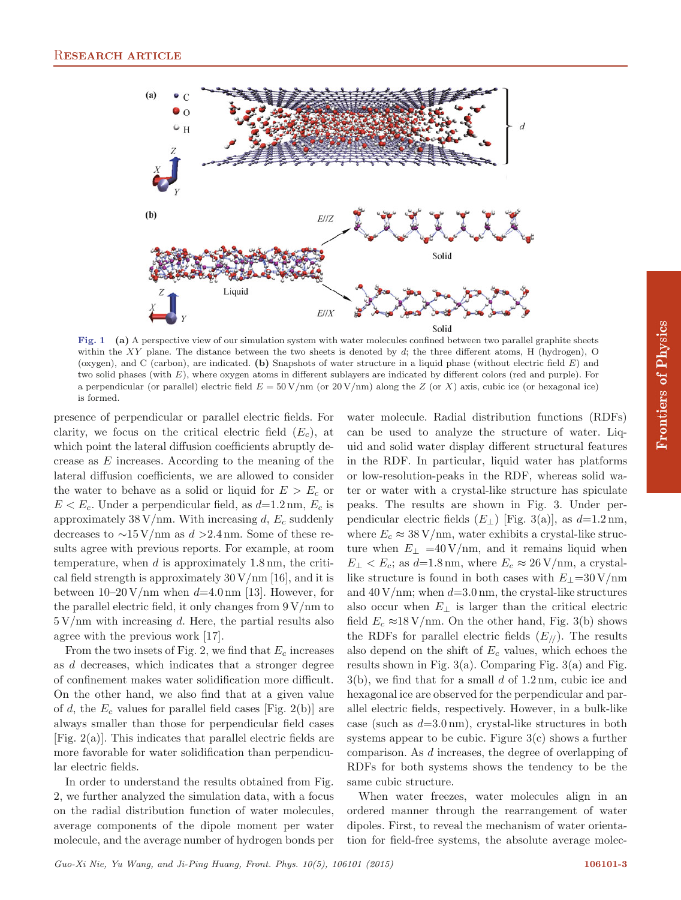

**Fig. 1 (a)** A perspective view of our simulation system with water molecules confined between two parallel graphite sheets within the *XY* plane. The distance between the two sheets is denoted by *d*; the three different atoms, H (hydrogen), O (oxygen), and C (carbon), are indicated. **(b)** Snapshots of water structure in a liquid phase (without electric field *E*) and two solid phases (with *E*), where oxygen atoms in different sublayers are indicated by different colors (red and purple). For a perpendicular (or parallel) electric field  $E = 50 \text{ V/mm}$  (or  $20 \text{ V/mm}$ ) along the *Z* (or *X*) axis, cubic ice (or hexagonal ice) is formed.

presence of perpendicular or parallel electric fields. For clarity, we focus on the critical electric field  $(E_c)$ , at which point the lateral diffusion coefficients abruptly decrease as E increases. According to the meaning of the lateral diffusion coefficients, we are allowed to consider the water to behave as a solid or liquid for  $E>E_c$  or  $E < E_c$ . Under a perpendicular field, as  $d=1.2$  nm,  $E_c$  is approximately  $38 \text{ V/mm}$ . With increasing d,  $E_c$  suddenly decreases to  $\sim$ 15 V/nm as d >2.4 nm. Some of these results agree with previous reports. For example, at room temperature, when  $d$  is approximately 1.8 nm, the critical field strength is approximately  $30 \mathrm{V/mm}$  [16], and it is between  $10-20 \text{ V/mm}$  when  $d=4.0 \text{ nm}$  [13]. However, for the parallel electric field, it only changes from  $9 \text{ V/nm}$  to  $5 \mathrm{V/nm}$  with increasing d. Here, the partial results also agree with the previous work [17].

From the two insets of Fig. 2, we find that  $E_c$  increases as d decreases, which indicates that a stronger degree of confinement makes water solidification more difficult. On the other hand, we also find that at a given value of d, the  $E_c$  values for parallel field cases [Fig. 2(b)] are always smaller than those for perpendicular field cases [Fig. 2(a)]. This indicates that parallel electric fields are more favorable for water solidification than perpendicular electric fields.

In order to understand the results obtained from Fig. 2, we further analyzed the simulation data, with a focus on the radial distribution function of water molecules, average components of the dipole moment per water molecule, and the average number of hydrogen bonds per

water molecule. Radial distribution functions (RDFs) can be used to analyze the structure of water. Liquid and solid water display different structural features in the RDF. In particular, liquid water has platforms or low-resolution-peaks in the RDF, whereas solid water or water with a crystal-like structure has spiculate peaks. The results are shown in Fig. 3. Under perpendicular electric fields  $(E_{\perp})$  [Fig. 3(a)], as  $d=1.2$  nm, where  $E_c \approx 38 \text{ V/mm}$ , water exhibits a crystal-like structure when  $E_{\perp}$  =40 V/nm, and it remains liquid when  $E_{\perp} < E_c$ ; as d=1.8 nm, where  $E_c \approx 26 \,\mathrm{V/mm}$ , a crystallike structure is found in both cases with  $E_1=30 \text{ V/nm}$ and  $40 \text{ V/mm}$ ; when  $d=3.0 \text{ nm}$ , the crystal-like structures also occur when  $E_{\perp}$  is larger than the critical electric field  $E_c \approx 18 \text{ V/mm}$ . On the other hand, Fig. 3(b) shows the RDFs for parallel electric fields  $(E_{//})$ . The results also depend on the shift of  $E_c$  values, which echoes the results shown in Fig. 3(a). Comparing Fig. 3(a) and Fig.  $3(b)$ , we find that for a small d of 1.2 nm, cubic ice and hexagonal ice are observed for the perpendicular and parallel electric fields, respectively. However, in a bulk-like case (such as  $d=3.0 \text{ nm}$ ), crystal-like structures in both systems appear to be cubic. Figure  $3(c)$  shows a further comparison. As d increases, the degree of overlapping of RDFs for both systems shows the tendency to be the same cubic structure.

When water freezes, water molecules align in an ordered manner through the rearrangement of water dipoles. First, to reveal the mechanism of water orientation for field-free systems, the absolute average molec-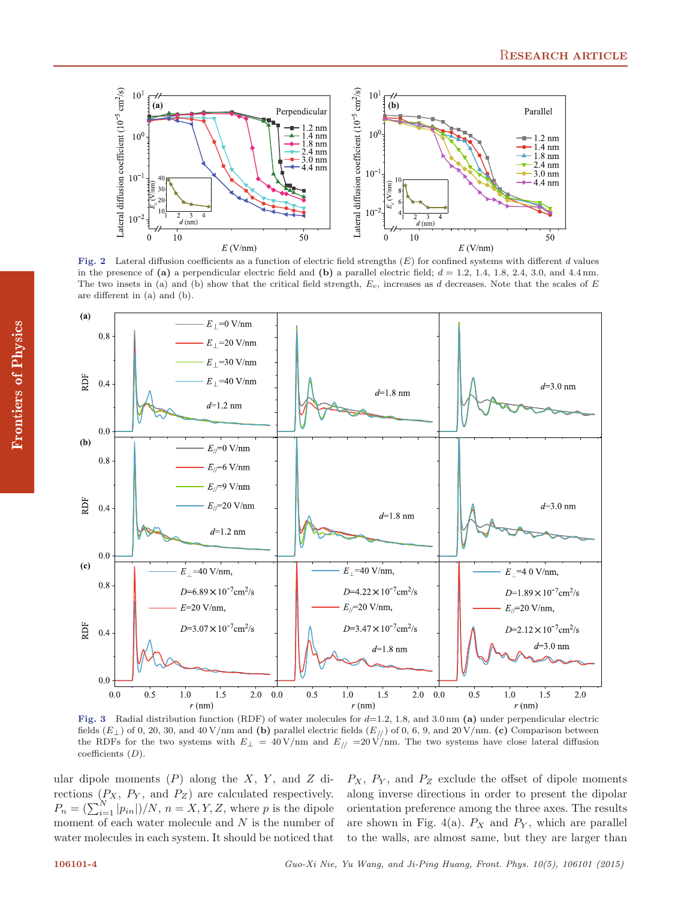

**Fig. 2** Lateral diffusion coefficients as a function of electric field strengths (*E*) for confined systems with different *d* values in the presence of (a) a perpendicular electric field and (b) a parallel electric field;  $d = 1.2, 1.4, 1.8, 2.4, 3.0,$  and  $4.4 \text{ nm}$ . The two insets in (a) and (b) show that the critical field strength, *Ec*, increases as *d* decreases. Note that the scales of *E* are different in (a) and (b).



**Fig. 3** Radial distribution function (RDF) of water molecules for *d*=1.2, 1.8, and 3.0 nm **(a)** under perpendicular electric fields  $(E_{\perp})$  of 0, 20, 30, and 40 V/nm and (b) parallel electric fields  $(E_{//})$  of 0, 6, 9, and 20 V/nm. (c) Comparison between the RDFs for the two systems with  $E_{\perp} = 40 \text{ V/nm}$  and  $E_{\parallel}/=20 \text{ V/nm}$ . The two systems have close lateral diffusion coefficients (*D*).

ular dipole moments  $(P)$  along the X, Y, and Z directions  $(P_X, P_Y, \text{ and } P_Z)$  are calculated respectively.  $P_n = \left(\sum_{i=1}^N |p_{in}|\right)/N, n = X, Y, Z$ , where p is the dipole moment of each water molecule and  $N$  is the number of water molecules in each system. It should be noticed that

 $P_X$ ,  $P_Y$ , and  $P_Z$  exclude the offset of dipole moments along inverse directions in order to present the dipolar orientation preference among the three axes. The results are shown in Fig. 4(a).  $P_X$  and  $P_Y$ , which are parallel to the walls, are almost same, but they are larger than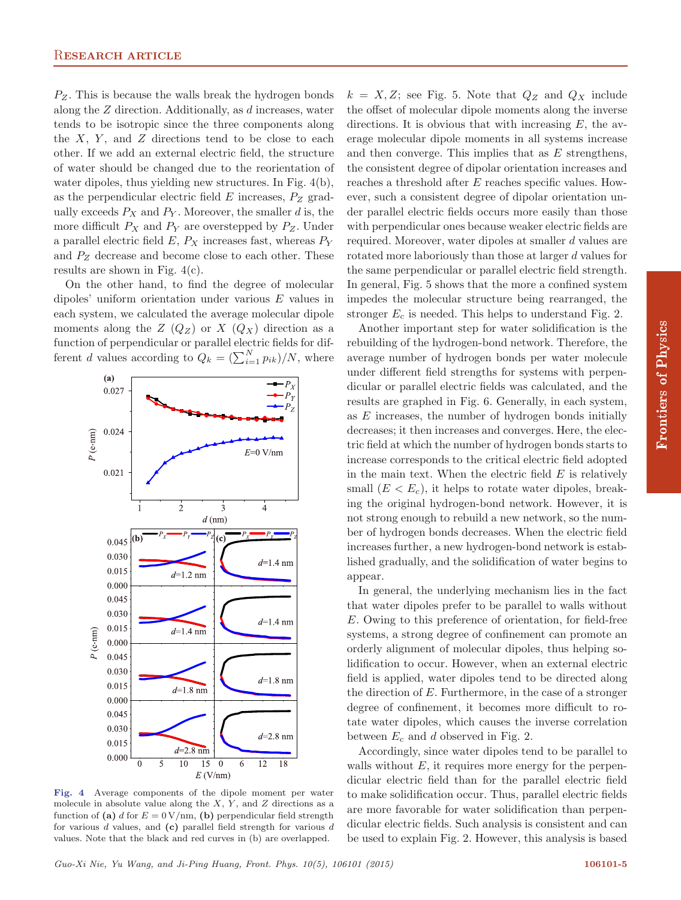$P_Z$ . This is because the walls break the hydrogen bonds along the Z direction. Additionally, as d increases, water tends to be isotropic since the three components along the  $X$ ,  $Y$ , and  $Z$  directions tend to be close to each other. If we add an external electric field, the structure of water should be changed due to the reorientation of water dipoles, thus yielding new structures. In Fig. 4(b), as the perpendicular electric field  $E$  increases,  $P_Z$  gradually exceeds  $P_X$  and  $P_Y$ . Moreover, the smaller d is, the more difficult  $P_X$  and  $P_Y$  are overstepped by  $P_Z$ . Under a parallel electric field  $E, P_X$  increases fast, whereas  $P_Y$ and  $P_Z$  decrease and become close to each other. These results are shown in Fig. 4(c).

On the other hand, to find the degree of molecular dipoles' uniform orientation under various E values in each system, we calculated the average molecular dipole moments along the  $Z(Q_Z)$  or  $X(Q_X)$  direction as a function of perpendicular or parallel electric fields for different d values according to  $Q_k = (\sum_{i=1}^N p_{ik})/N$ , where



**Fig. 4** Average components of the dipole moment per water molecule in absolute value along the *X*, *Y* , and *Z* directions as a function of (a) *d* for  $E = 0 \text{ V/mm}$ , (b) perpendicular field strength for various *d* values, and **(c)** parallel field strength for various *d* values. Note that the black and red curves in (b) are overlapped.

 $k = X, Z$ ; see Fig. 5. Note that  $Q_Z$  and  $Q_X$  include the offset of molecular dipole moments along the inverse directions. It is obvious that with increasing  $E$ , the average molecular dipole moments in all systems increase and then converge. This implies that as  $E$  strengthens, the consistent degree of dipolar orientation increases and reaches a threshold after E reaches specific values. However, such a consistent degree of dipolar orientation under parallel electric fields occurs more easily than those with perpendicular ones because weaker electric fields are required. Moreover, water dipoles at smaller d values are rotated more laboriously than those at larger d values for the same perpendicular or parallel electric field strength. In general, Fig. 5 shows that the more a confined system impedes the molecular structure being rearranged, the stronger  $E_c$  is needed. This helps to understand Fig. 2.

Another important step for water solidification is the rebuilding of the hydrogen-bond network. Therefore, the average number of hydrogen bonds per water molecule under different field strengths for systems with perpendicular or parallel electric fields was calculated, and the results are graphed in Fig. 6. Generally, in each system, as  $E$  increases, the number of hydrogen bonds initially decreases; it then increases and converges. Here, the electric field at which the number of hydrogen bonds starts to increase corresponds to the critical electric field adopted in the main text. When the electric field  $E$  is relatively small  $(E < E<sub>c</sub>)$ , it helps to rotate water dipoles, breaking the original hydrogen-bond network. However, it is not strong enough to rebuild a new network, so the number of hydrogen bonds decreases. When the electric field increases further, a new hydrogen-bond network is established gradually, and the solidification of water begins to appear.

In general, the underlying mechanism lies in the fact that water dipoles prefer to be parallel to walls without E. Owing to this preference of orientation, for field-free systems, a strong degree of confinement can promote an orderly alignment of molecular dipoles, thus helping solidification to occur. However, when an external electric field is applied, water dipoles tend to be directed along the direction of  $E$ . Furthermore, in the case of a stronger degree of confinement, it becomes more difficult to rotate water dipoles, which causes the inverse correlation between  $E_c$  and d observed in Fig. 2.

Accordingly, since water dipoles tend to be parallel to walls without  $E$ , it requires more energy for the perpendicular electric field than for the parallel electric field to make solidification occur. Thus, parallel electric fields are more favorable for water solidification than perpendicular electric fields. Such analysis is consistent and can be used to explain Fig. 2. However, this analysis is based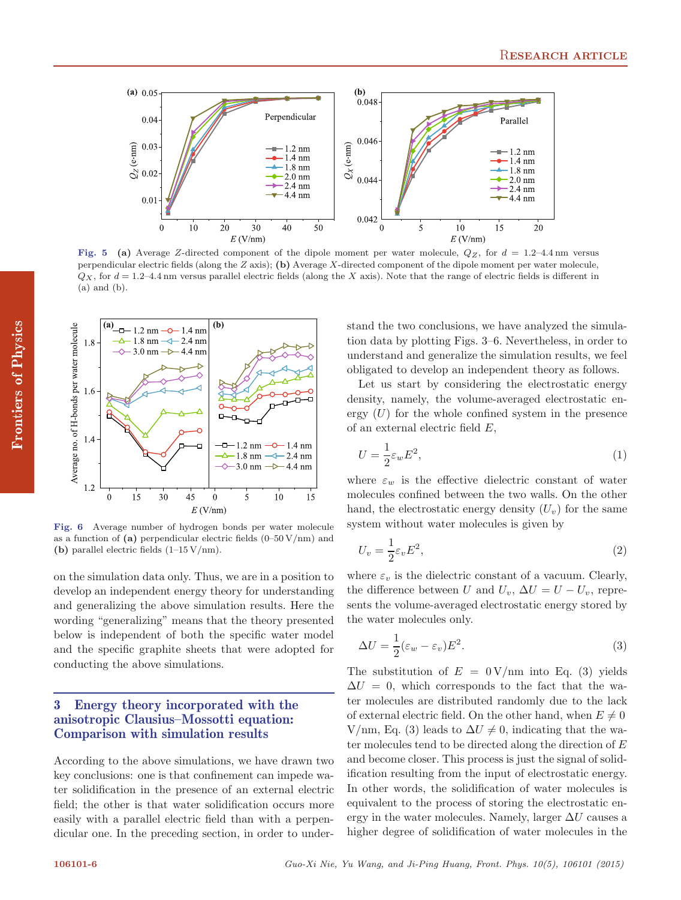

**Fig. 5** (a) Average *Z*-directed component of the dipole moment per water molecule,  $Q_Z$ , for  $d = 1.2-4.4$  nm versus perpendicular electric fields (along the *Z* axis); **(b)** Average *X*-directed component of the dipole moment per water molecule,  $Q_X$ , for  $d = 1.2-4.4$  nm versus parallel electric fields (along the *X* axis). Note that the range of electric fields is different in (a) and (b).



**Fig. 6** Average number of hydrogen bonds per water molecule as a function of  $(a)$  perpendicular electric fields  $(0-50 \text{ V/mm})$  and **(b)** parallel electric fields (1–15 V/nm).

on the simulation data only. Thus, we are in a position to develop an independent energy theory for understanding and generalizing the above simulation results. Here the wording "generalizing" means that the theory presented below is independent of both the specific water model and the specific graphite sheets that were adopted for conducting the above simulations.

## **3 Energy theory incorporated with the anisotropic Clausius–Mossotti equation: Comparison with simulation results**

According to the above simulations, we have drawn two key conclusions: one is that confinement can impede water solidification in the presence of an external electric field; the other is that water solidification occurs more easily with a parallel electric field than with a perpendicular one. In the preceding section, in order to understand the two conclusions, we have analyzed the simulation data by plotting Figs. 3–6. Nevertheless, in order to understand and generalize the simulation results, we feel obligated to develop an independent theory as follows.

Let us start by considering the electrostatic energy density, namely, the volume-averaged electrostatic energy  $(U)$  for the whole confined system in the presence of an external electric field E,

$$
U = \frac{1}{2} \varepsilon_w E^2,\tag{1}
$$

where  $\varepsilon_w$  is the effective dielectric constant of water molecules confined between the two walls. On the other hand, the electrostatic energy density  $(U_n)$  for the same system without water molecules is given by

$$
U_v = \frac{1}{2} \varepsilon_v E^2,\tag{2}
$$

where  $\varepsilon_v$  is the dielectric constant of a vacuum. Clearly, the difference between U and  $U_v$ ,  $\Delta U = U - U_v$ , represents the volume-averaged electrostatic energy stored by the water molecules only.

$$
\Delta U = \frac{1}{2} (\varepsilon_w - \varepsilon_v) E^2.
$$
\n(3)

The substitution of  $E = 0 \text{ V/mm}$  into Eq. (3) yields  $\Delta U = 0$ , which corresponds to the fact that the water molecules are distributed randomly due to the lack of external electric field. On the other hand, when  $E \neq 0$ V/nm, Eq. (3) leads to  $\Delta U \neq 0$ , indicating that the water molecules tend to be directed along the direction of  $E$ and become closer. This process is just the signal of solidification resulting from the input of electrostatic energy. In other words, the solidification of water molecules is equivalent to the process of storing the electrostatic energy in the water molecules. Namely, larger  $\Delta U$  causes a higher degree of solidification of water molecules in the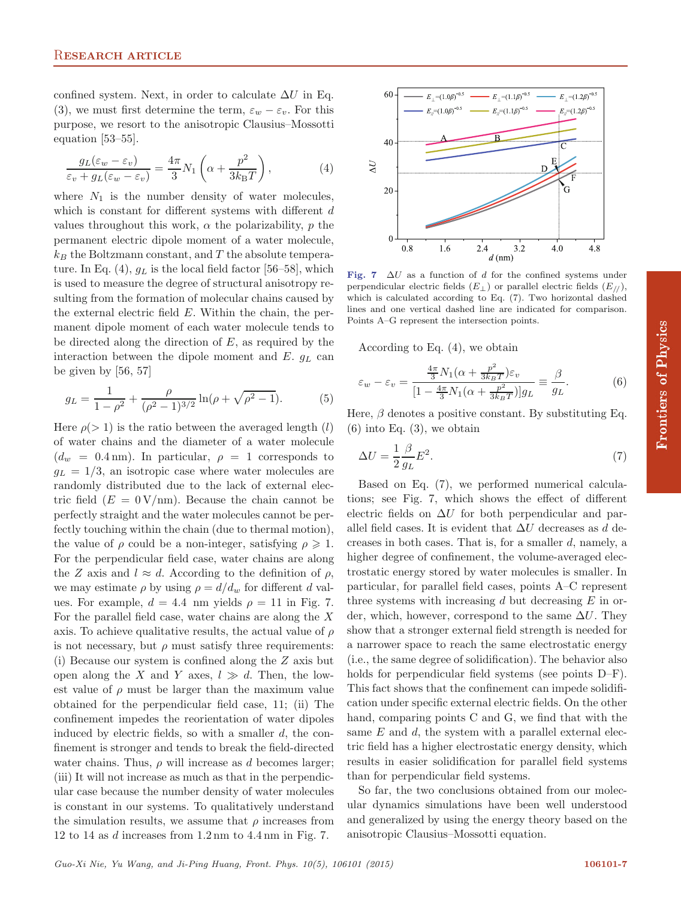confined system. Next, in order to calculate  $\Delta U$  in Eq. (3), we must first determine the term,  $\varepsilon_w - \varepsilon_v$ . For this purpose, we resort to the anisotropic Clausius–Mossotti equation [53–55].

$$
\frac{g_L(\varepsilon_w - \varepsilon_v)}{\varepsilon_v + g_L(\varepsilon_w - \varepsilon_v)} = \frac{4\pi}{3} N_1 \left( \alpha + \frac{p^2}{3k_B T} \right),\tag{4}
$$

where  $N_1$  is the number density of water molecules, which is constant for different systems with different  $d$ values throughout this work,  $\alpha$  the polarizability, p the permanent electric dipole moment of a water molecule,  $k_B$  the Boltzmann constant, and T the absolute temperature. In Eq.  $(4)$ ,  $g<sub>L</sub>$  is the local field factor [56–58], which is used to measure the degree of structural anisotropy resulting from the formation of molecular chains caused by the external electric field  $E$ . Within the chain, the permanent dipole moment of each water molecule tends to be directed along the direction of  $E$ , as required by the interaction between the dipole moment and  $E. g<sub>L</sub>$  can be given by [56, 57]

$$
g_L = \frac{1}{1 - \rho^2} + \frac{\rho}{(\rho^2 - 1)^{3/2}} \ln(\rho + \sqrt{\rho^2 - 1}).
$$
 (5)

Here  $\rho$ (> 1) is the ratio between the averaged length (l) of water chains and the diameter of a water molecule  $(d_w = 0.4 \text{ nm})$ . In particular,  $\rho = 1$  corresponds to  $g_L = 1/3$ , an isotropic case where water molecules are randomly distributed due to the lack of external electric field  $(E = 0 \text{ V/mm})$ . Because the chain cannot be perfectly straight and the water molecules cannot be perfectly touching within the chain (due to thermal motion), the value of  $\rho$  could be a non-integer, satisfying  $\rho \geqslant 1$ . For the perpendicular field case, water chains are along the Z axis and  $l \approx d$ . According to the definition of  $\rho$ , we may estimate  $\rho$  by using  $\rho = d/d_w$  for different d values. For example,  $d = 4.4$  nm yields  $\rho = 11$  in Fig. 7. For the parallel field case, water chains are along the  $X$ axis. To achieve qualitative results, the actual value of  $\rho$ is not necessary, but  $\rho$  must satisfy three requirements: (i) Because our system is confined along the Z axis but open along the X and Y axes,  $l \gg d$ . Then, the lowest value of  $\rho$  must be larger than the maximum value obtained for the perpendicular field case, 11; (ii) The confinement impedes the reorientation of water dipoles induced by electric fields, so with a smaller  $d$ , the confinement is stronger and tends to break the field-directed water chains. Thus,  $\rho$  will increase as d becomes larger; (iii) It will not increase as much as that in the perpendicular case because the number density of water molecules is constant in our systems. To qualitatively understand the simulation results, we assume that  $\rho$  increases from 12 to 14 as d increases from 1.2 nm to 4.4 nm in Fig. 7.



**Fig. 7**  $\Delta U$  as a function of *d* for the confined systems under perpendicular electric fields  $(E_{\perp})$  or parallel electric fields  $(E_{//})$ , which is calculated according to Eq. (7). Two horizontal dashed lines and one vertical dashed line are indicated for comparison. Points A–G represent the intersection points.

According to Eq. (4), we obtain

$$
\varepsilon_w - \varepsilon_v = \frac{\frac{4\pi}{3} N_1 (\alpha + \frac{p^2}{3k_B T}) \varepsilon_v}{[1 - \frac{4\pi}{3} N_1 (\alpha + \frac{p^2}{3k_B T})] g_L} \equiv \frac{\beta}{g_L}.
$$
 (6)

Here,  $\beta$  denotes a positive constant. By substituting Eq.  $(6)$  into Eq.  $(3)$ , we obtain

$$
\Delta U = \frac{1}{2} \frac{\beta}{g_L} E^2. \tag{7}
$$

Based on Eq. (7), we performed numerical calculations; see Fig. 7, which shows the effect of different electric fields on  $\Delta U$  for both perpendicular and parallel field cases. It is evident that  $\Delta U$  decreases as d decreases in both cases. That is, for a smaller d, namely, a higher degree of confinement, the volume-averaged electrostatic energy stored by water molecules is smaller. In particular, for parallel field cases, points A–C represent three systems with increasing  $d$  but decreasing  $E$  in order, which, however, correspond to the same  $\Delta U$ . They show that a stronger external field strength is needed for a narrower space to reach the same electrostatic energy (i.e., the same degree of solidification). The behavior also holds for perpendicular field systems (see points D–F). This fact shows that the confinement can impede solidification under specific external electric fields. On the other hand, comparing points C and G, we find that with the same  $E$  and  $d$ , the system with a parallel external electric field has a higher electrostatic energy density, which results in easier solidification for parallel field systems than for perpendicular field systems.

So far, the two conclusions obtained from our molecular dynamics simulations have been well understood and generalized by using the energy theory based on the anisotropic Clausius–Mossotti equation.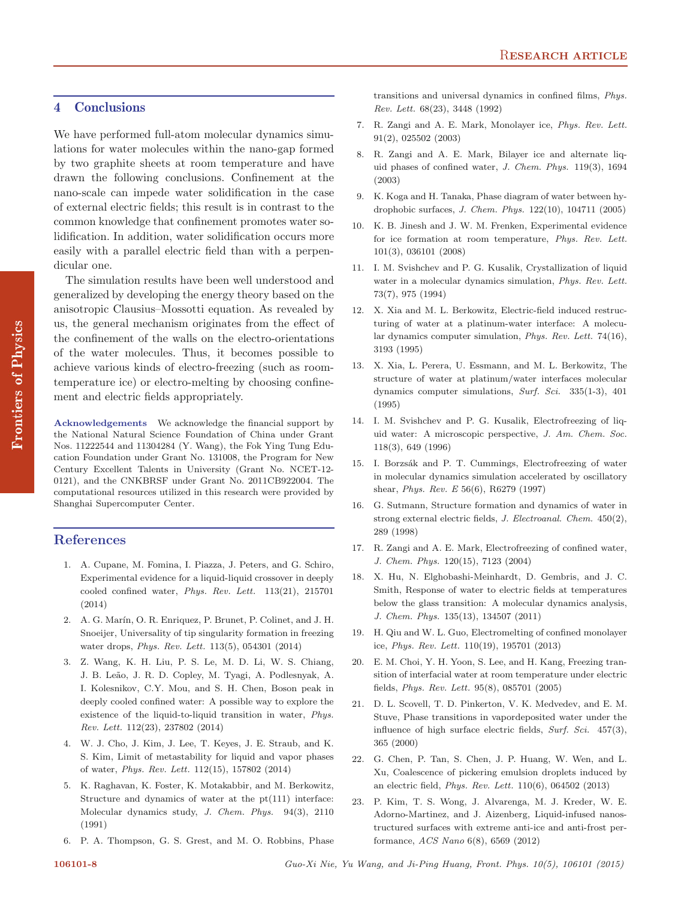### **4 Conclusions**

We have performed full-atom molecular dynamics simulations for water molecules within the nano-gap formed by two graphite sheets at room temperature and have drawn the following conclusions. Confinement at the nano-scale can impede water solidification in the case of external electric fields; this result is in contrast to the common knowledge that confinement promotes water solidification. In addition, water solidification occurs more easily with a parallel electric field than with a perpendicular one.

The simulation results have been well understood and generalized by developing the energy theory based on the anisotropic Clausius–Mossotti equation. As revealed by us, the general mechanism originates from the effect of the confinement of the walls on the electro-orientations of the water molecules. Thus, it becomes possible to achieve various kinds of electro-freezing (such as roomtemperature ice) or electro-melting by choosing confinement and electric fields appropriately.

**Acknowledgements** We acknowledge the financial support by the National Natural Science Foundation of China under Grant Nos. 11222544 and 11304284 (Y. Wang), the Fok Ying Tung Education Foundation under Grant No. 131008, the Program for New Century Excellent Talents in University (Grant No. NCET-12- 0121), and the CNKBRSF under Grant No. 2011CB922004. The computational resources utilized in this research were provided by Shanghai Supercomputer Center.

## **References**

- 1. A. Cupane, M. Fomina, I. Piazza, J. Peters, and G. Schiro, Experimental evidence for a liquid-liquid crossover in deeply cooled confined water, *Phys. Rev. Lett.* 113(21), 215701 (2014)
- 2. A. G. Marín, O. R. Enriquez, P. Brunet, P. Colinet, and J. H. Snoeijer, Universality of tip singularity formation in freezing water drops, *Phys. Rev. Lett.* 113(5), 054301 (2014)
- 3. Z. Wang, K. H. Liu, P. S. Le, M. D. Li, W. S. Chiang, J. B. Leão, J. R. D. Copley, M. Tyagi, A. Podlesnyak, A. I. Kolesnikov, C.Y. Mou, and S. H. Chen, Boson peak in deeply cooled confined water: A possible way to explore the existence of the liquid-to-liquid transition in water, *Phys. Rev. Lett.* 112(23), 237802 (2014)
- 4. W. J. Cho, J. Kim, J. Lee, T. Keyes, J. E. Straub, and K. S. Kim, Limit of metastability for liquid and vapor phases of water, *Phys. Rev. Lett.* 112(15), 157802 (2014)
- 5. K. Raghavan, K. Foster, K. Motakabbir, and M. Berkowitz, Structure and dynamics of water at the pt(111) interface: Molecular dynamics study, *J. Chem. Phys.* 94(3), 2110 (1991)
- 6. P. A. Thompson, G. S. Grest, and M. O. Robbins, Phase

transitions and universal dynamics in confined films, *Phys. Rev. Lett.* 68(23), 3448 (1992)

- 7. R. Zangi and A. E. Mark, Monolayer ice, *Phys. Rev. Lett.* 91(2), 025502 (2003)
- 8. R. Zangi and A. E. Mark, Bilayer ice and alternate liquid phases of confined water, *J. Chem. Phys.* 119(3), 1694 (2003)
- 9. K. Koga and H. Tanaka, Phase diagram of water between hydrophobic surfaces, *J. Chem. Phys.* 122(10), 104711 (2005)
- 10. K. B. Jinesh and J. W. M. Frenken, Experimental evidence for ice formation at room temperature, *Phys. Rev. Lett.* 101(3), 036101 (2008)
- 11. I. M. Svishchev and P. G. Kusalik, Crystallization of liquid water in a molecular dynamics simulation, *Phys. Rev. Lett.* 73(7), 975 (1994)
- 12. X. Xia and M. L. Berkowitz, Electric-field induced restructuring of water at a platinum-water interface: A molecular dynamics computer simulation, *Phys. Rev. Lett.* 74(16), 3193 (1995)
- 13. X. Xia, L. Perera, U. Essmann, and M. L. Berkowitz, The structure of water at platinum/water interfaces molecular dynamics computer simulations, *Surf. Sci.* 335(1-3), 401 (1995)
- 14. I. M. Svishchev and P. G. Kusalik, Electrofreezing of liquid water: A microscopic perspective, *J. Am. Chem. Soc.* 118(3), 649 (1996)
- 15. I. Borzsák and P. T. Cummings, Electrofreezing of water in molecular dynamics simulation accelerated by oscillatory shear, *Phys. Rev. E* 56(6), R6279 (1997)
- 16. G. Sutmann, Structure formation and dynamics of water in strong external electric fields, *J. Electroanal. Chem.* 450(2), 289 (1998)
- 17. R. Zangi and A. E. Mark, Electrofreezing of confined water, *J. Chem. Phys.* 120(15), 7123 (2004)
- 18. X. Hu, N. Elghobashi-Meinhardt, D. Gembris, and J. C. Smith, Response of water to electric fields at temperatures below the glass transition: A molecular dynamics analysis, *J. Chem. Phys.* 135(13), 134507 (2011)
- 19. H. Qiu and W. L. Guo, Electromelting of confined monolayer ice, *Phys. Rev. Lett.* 110(19), 195701 (2013)
- 20. E. M. Choi, Y. H. Yoon, S. Lee, and H. Kang, Freezing transition of interfacial water at room temperature under electric fields, *Phys. Rev. Lett.* 95(8), 085701 (2005)
- 21. D. L. Scovell, T. D. Pinkerton, V. K. Medvedev, and E. M. Stuve, Phase transitions in vapordeposited water under the influence of high surface electric fields, *Surf. Sci.* 457(3), 365 (2000)
- 22. G. Chen, P. Tan, S. Chen, J. P. Huang, W. Wen, and L. Xu, Coalescence of pickering emulsion droplets induced by an electric field, *Phys. Rev. Lett.* 110(6), 064502 (2013)
- 23. P. Kim, T. S. Wong, J. Alvarenga, M. J. Kreder, W. E. Adorno-Martinez, and J. Aizenberg, Liquid-infused nanostructured surfaces with extreme anti-ice and anti-frost performance, *ACS Nano* 6(8), 6569 (2012)